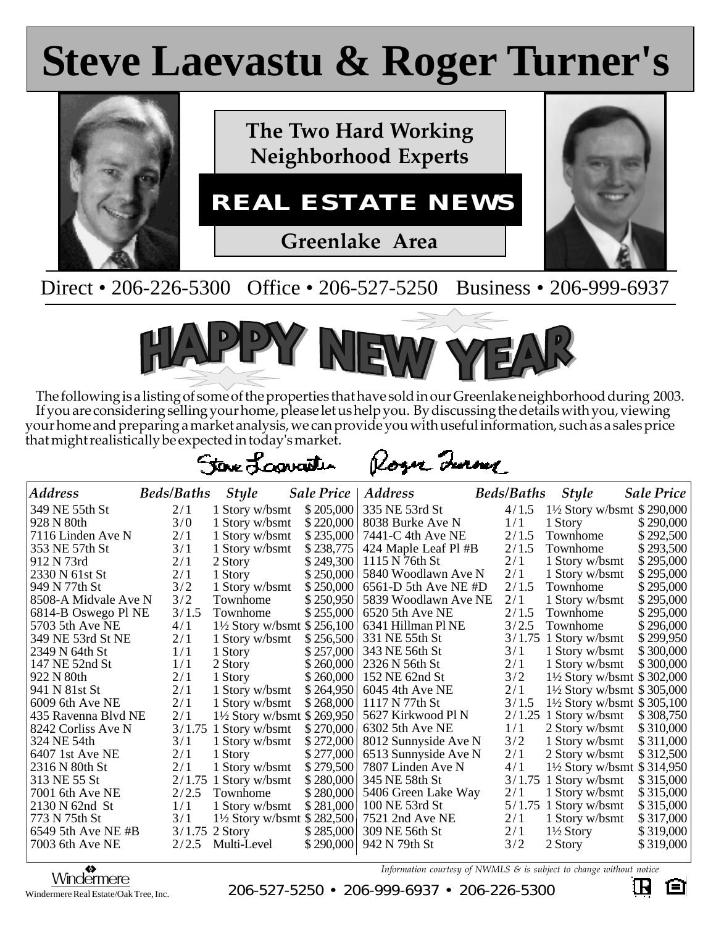## **Steve Laevastu & Roger Turner's Steve Laevastu & Roger Turner's**



Direct • 206-226-5300 Office • 206-527-5250 Business • 206-999-6937



The following is a listing of some of the properties that have sold in our Greenlake neighborhood during 2003. If you are considering selling your home, please let us help you. By discussing the details with you, viewing your home and preparing a market analysis, we can provide you with useful information, such as a sales price that might realistically be expected in today's market.

Roger Inner

| <b>Address</b>       | <b>Beds/Baths</b> | <b>Style</b>                           | <b>Sale Price</b> | <b>Address</b>         | <b>Beds/Baths</b> | <b>Style</b>                          | <b>Sale Price</b> |
|----------------------|-------------------|----------------------------------------|-------------------|------------------------|-------------------|---------------------------------------|-------------------|
| 349 NE 55th St       | 2/1               | 1 Story w/bsmt                         | \$205,000         | 335 NE 53rd St         | 4/1.5             | 1½ Story w/bsmt $$290,000$            |                   |
| 928 N 80th           | 3/0               | 1 Story w/bsmt                         | \$220,000         | 8038 Burke Ave N       | 1/1               | 1 Story                               | \$290,000         |
| 7116 Linden Ave N    | 2/1               | 1 Story w/bsmt                         | \$235,000         | 7441-C 4th Ave NE      | 2/1.5             | Townhome                              | \$292,500         |
| 353 NE 57th St       | 3/1               | 1 Story w/bsmt                         | \$238,775         | 424 Maple Leaf Pl #B   | 2/1.5             | Townhome                              | \$293,500         |
| 912 N 73rd           | 2/1               | 2 Story                                | \$249,300         | 1115 N 76th St         | 2/1               | 1 Story w/bsmt                        | \$295,000         |
| 2330 N 61st St       | 2/1               | 1 Story                                | \$250,000         | 5840 Woodlawn Ave N    | 2/1               | 1 Story w/bsmt                        | \$295,000         |
| 949 N 77th St        | 3/2               | 1 Story w/bsmt                         | \$250,000         | $6561-D$ 5th Ave NE #D | 2/1.5             | Townhome                              | \$295,000         |
| 8508-A Midvale Ave N | 3/2               | Townhome                               | \$250,950         | 5839 Woodlawn Ave NE   | 2/1               | 1 Story w/bsmt                        | \$295,000         |
| 6814-B Oswego Pl NE  | 3/1.5             | Townhome                               | \$255,000         | 6520 5th Ave NE        | 2/1.5             | Townhome                              | \$295,000         |
| 5703 5th Ave NE      | 4/1               | $1\frac{1}{2}$ Story w/bsmt \$ 256,100 |                   | 6341 Hillman Pl NE     | 3/2.5             | Townhome                              | \$296,000         |
| 349 NE 53rd St NE    | 2/1               | 1 Story w/bsmt                         | \$256,500         | 331 NE 55th St         |                   | $3/1.75$ 1 Story w/bsmt               | \$299,950         |
| 2349 N 64th St       | 1/1               | 1 Story                                | \$257,000         | 343 NE 56th St         | 3/1               | 1 Story w/bsmt                        | \$300,000         |
| 147 NE 52nd St       | 1/1               | 2 Story                                | \$260,000         | 2326 N 56th St         | 2/1               | 1 Story w/bsmt                        | \$300,000         |
| 922 N 80th           | 2/1               | 1 Story                                | \$260,000         | 152 NE 62nd St         | 3/2               | 1½ Story w/bsmt $$302,000$            |                   |
| 941 N 81st St        | 2/1               | 1 Story w/bsmt                         | \$264,950         | 6045 4th Ave NE        | 2/1               | $1\frac{1}{2}$ Story w/bsmt \$305,000 |                   |
| 6009 6th Ave NE      | 2/1               | 1 Story w/bsmt                         | \$268,000         | 1117 N 77th St         | 3/1.5             | $1\frac{1}{2}$ Story w/bsmt \$305,100 |                   |
| 435 Ravenna Blvd NE  | 2/1               | 1½ Story w/bsmt $$269,950$             |                   | 5627 Kirkwood Pl N     |                   | $2/1.25$ 1 Story w/bsmt               | \$308,750         |
| 8242 Corliss Ave N   | 3/1.75            | 1 Story w/bsmt                         | \$270,000         | 6302 5th Ave NE        | 1/1               | 2 Story w/bsmt                        | \$310,000         |
| 324 NE 54th          | 3/1               | 1 Story w/bsmt                         | \$272,000         | 8012 Sunnyside Ave N   | 3/2               | 1 Story w/bsmt                        | \$311,000         |
| 6407 1st Ave NE      | 2/1               | 1 Story                                | \$277,000         | 6513 Sunnyside Ave N   | 2/1               | 2 Story w/bsmt                        | \$312,500         |
| 2316 N 80th St       | 2/1               | 1 Story w/bsmt                         | \$279,500         | 7807 Linden Ave N      | 4/1               | $1\frac{1}{2}$ Story w/bsmt \$314,950 |                   |
| 313 NE 55 St         | 2/1.75            | 1 Story w/bsmt                         | \$280,000         | 345 NE 58th St         | 3/1.75            | 1 Story w/bsmt                        | \$315,000         |
| 7001 6th Ave NE      | 2/2.5             | Townhome                               | \$280,000         | 5406 Green Lake Way    | 2/1               | 1 Story w/bsmt                        | \$315,000         |
| 2130 N 62nd St       | 1/1               | 1 Story w/bsmt                         | \$281,000         | 100 NE 53rd St         |                   | $5/1.75$ 1 Story w/bsmt               | \$315,000         |
| 773 N 75th St        | 3/1               | $1\frac{1}{2}$ Story w/bsmt \$ 282,500 |                   | 7521 2nd Ave NE        | 2/1               | 1 Story w/bsmt                        | \$317,000         |
| 6549 5th Ave NE #B   | 3/1.75            | 2 Story                                | \$285,000         | 309 NE 56th St         | 2/1               | $1\frac{1}{2}$ Story                  | \$319,000         |
| 7003 6th Ave NE      | 2/2.5             | Multi-Level                            | \$290,000         | 942 N 79th St          | 3/2               | 2 Story                               | \$319,000         |

*Information courtesy of NWMLS & is subject to change without notice*

Windermere Real Estate/Oak Tree, Inc.

 $\frac{\text{W}\text{indefime}}{\text{M}\text{infermetre}}$ <br>S  $\frac{\text{W}\text{indefime}}{\text{infermere Real Estate/Oak Tree Inc}}$  200-527-5250 • 206-999-6937 • 206-226-5300